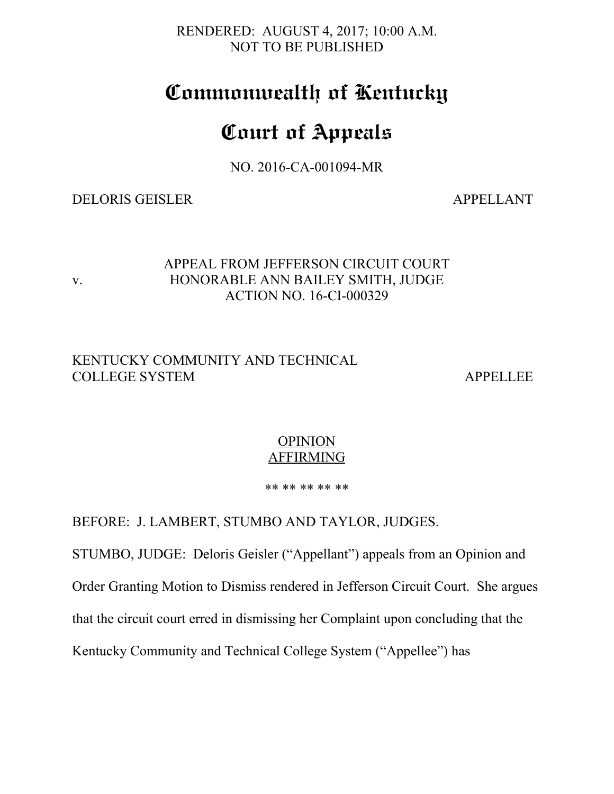RENDERED: AUGUST 4, 2017; 10:00 A.M. NOT TO BE PUBLISHED

## **Commonwealth of Kentucky**

# **Court of Appeals**

NO. 2016-CA-001094-MR

#### DELORIS GEISLER APPELLANT

#### APPEAL FROM JEFFERSON CIRCUIT COURT v. HONORABLE ANN BAILEY SMITH, JUDGE ACTION NO. 16-CI-000329

### KENTUCKY COMMUNITY AND TECHNICAL COLLEGE SYSTEM APPELLEE

### **OPINION AFFIRMING**

#### \*\* \*\* \*\* \*\* \*\*

BEFORE: J. LAMBERT, STUMBO AND TAYLOR, JUDGES.

STUMBO, JUDGE: Deloris Geisler ("Appellant") appeals from an Opinion and

Order Granting Motion to Dismiss rendered in Jefferson Circuit Court. She argues

that the circuit court erred in dismissing her Complaint upon concluding that the

Kentucky Community and Technical College System ("Appellee") has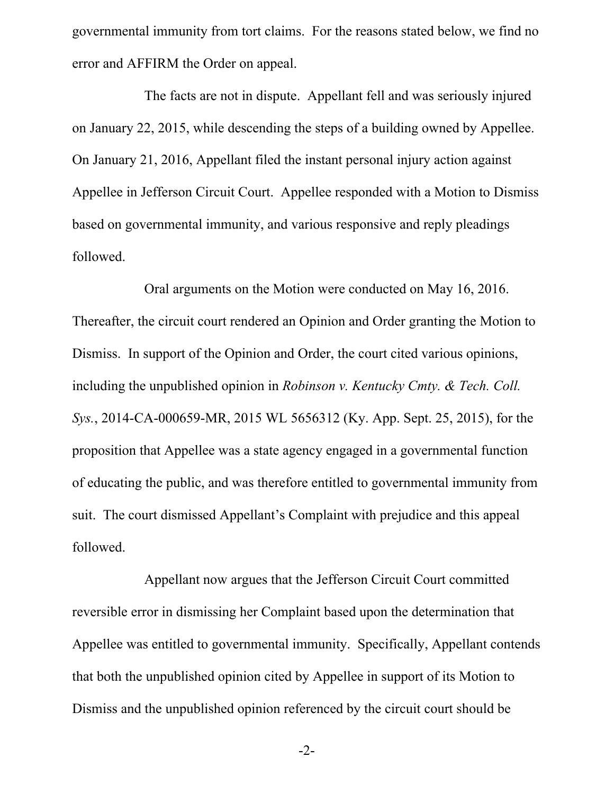governmental immunity from tort claims. For the reasons stated below, we find no error and AFFIRM the Order on appeal.

The facts are not in dispute. Appellant fell and was seriously injured on January 22, 2015, while descending the steps of a building owned by Appellee. On January 21, 2016, Appellant filed the instant personal injury action against Appellee in Jefferson Circuit Court. Appellee responded with a Motion to Dismiss based on governmental immunity, and various responsive and reply pleadings followed.

Oral arguments on the Motion were conducted on May 16, 2016. Thereafter, the circuit court rendered an Opinion and Order granting the Motion to Dismiss. In support of the Opinion and Order, the court cited various opinions, including the unpublished opinion in *Robinson v. Kentucky Cmty. & Tech. Coll. Sys.*, 2014-CA-000659-MR, 2015 WL 5656312 (Ky. App. Sept. 25, 2015), for the proposition that Appellee was a state agency engaged in a governmental function of educating the public, and was therefore entitled to governmental immunity from suit. The court dismissed Appellant's Complaint with prejudice and this appeal followed.

Appellant now argues that the Jefferson Circuit Court committed reversible error in dismissing her Complaint based upon the determination that Appellee was entitled to governmental immunity. Specifically, Appellant contends that both the unpublished opinion cited by Appellee in support of its Motion to Dismiss and the unpublished opinion referenced by the circuit court should be

-2-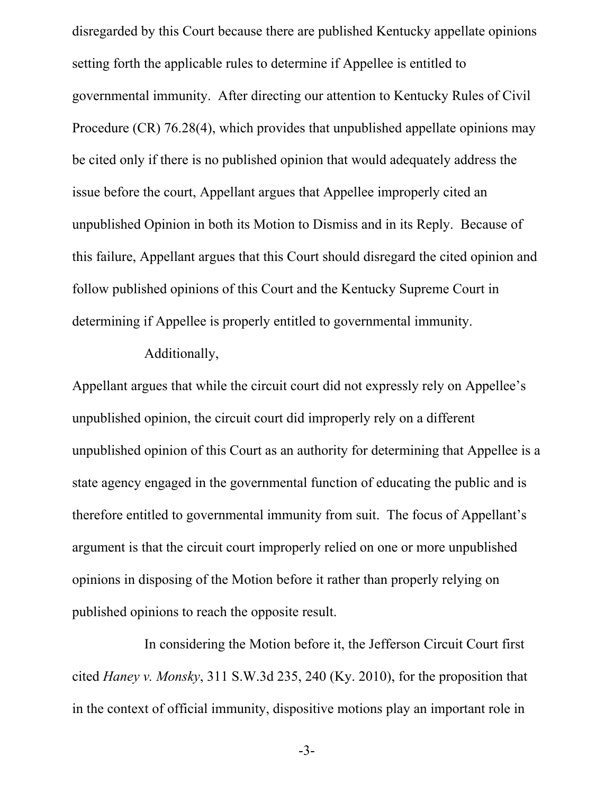disregarded by this Court because there are published Kentucky appellate opinions setting forth the applicable rules to determine if Appellee is entitled to governmental immunity. After directing our attention to Kentucky Rules of Civil Procedure (CR) 76.28(4), which provides that unpublished appellate opinions may be cited only if there is no published opinion that would adequately address the issue before the court, Appellant argues that Appellee improperly cited an unpublished Opinion in both its Motion to Dismiss and in its Reply. Because of this failure, Appellant argues that this Court should disregard the cited opinion and follow published opinions of this Court and the Kentucky Supreme Court in determining if Appellee is properly entitled to governmental immunity.

#### Additionally,

Appellant argues that while the circuit court did not expressly rely on Appellee's unpublished opinion, the circuit court did improperly rely on a different unpublished opinion of this Court as an authority for determining that Appellee is a state agency engaged in the governmental function of educating the public and is therefore entitled to governmental immunity from suit. The focus of Appellant's argument is that the circuit court improperly relied on one or more unpublished opinions in disposing of the Motion before it rather than properly relying on published opinions to reach the opposite result.

In considering the Motion before it, the Jefferson Circuit Court first cited *Haney v. Monsky*, 311 S.W.3d 235, 240 (Ky. 2010), for the proposition that in the context of official immunity, dispositive motions play an important role in

-3-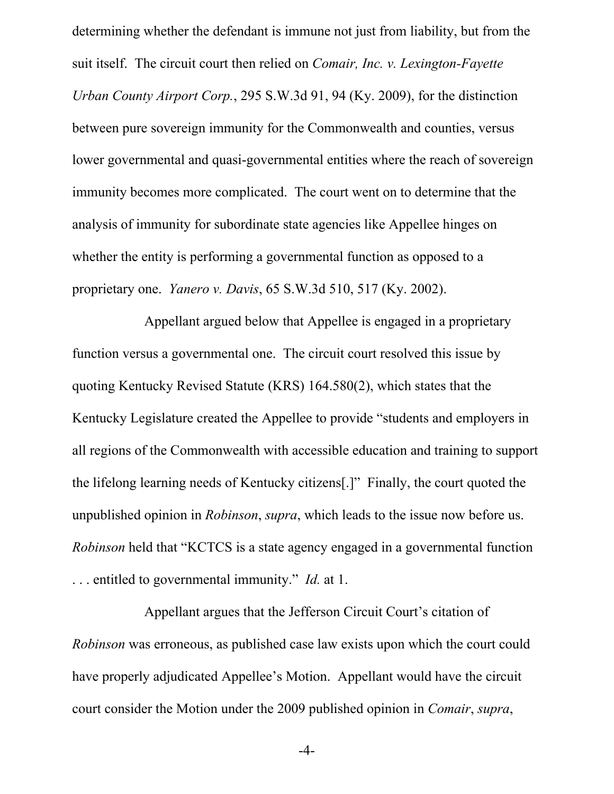determining whether the defendant is immune not just from liability, but from the suit itself. The circuit court then relied on *Comair, Inc. v. Lexington-Fayette Urban County Airport Corp.*, 295 S.W.3d 91, 94 (Ky. 2009), for the distinction between pure sovereign immunity for the Commonwealth and counties, versus lower governmental and quasi-governmental entities where the reach of sovereign immunity becomes more complicated. The court went on to determine that the analysis of immunity for subordinate state agencies like Appellee hinges on whether the entity is performing a governmental function as opposed to a proprietary one. *Yanero v. Davis*, 65 S.W.3d 510, 517 (Ky. 2002).

Appellant argued below that Appellee is engaged in a proprietary function versus a governmental one. The circuit court resolved this issue by quoting Kentucky Revised Statute (KRS) 164.580(2), which states that the Kentucky Legislature created the Appellee to provide "students and employers in all regions of the Commonwealth with accessible education and training to support the lifelong learning needs of Kentucky citizens[.]" Finally, the court quoted the unpublished opinion in *Robinson*, *supra*, which leads to the issue now before us. *Robinson* held that "KCTCS is a state agency engaged in a governmental function . . . entitled to governmental immunity." *Id.* at 1.

Appellant argues that the Jefferson Circuit Court's citation of *Robinson* was erroneous, as published case law exists upon which the court could have properly adjudicated Appellee's Motion. Appellant would have the circuit court consider the Motion under the 2009 published opinion in *Comair*, *supra*,

-4-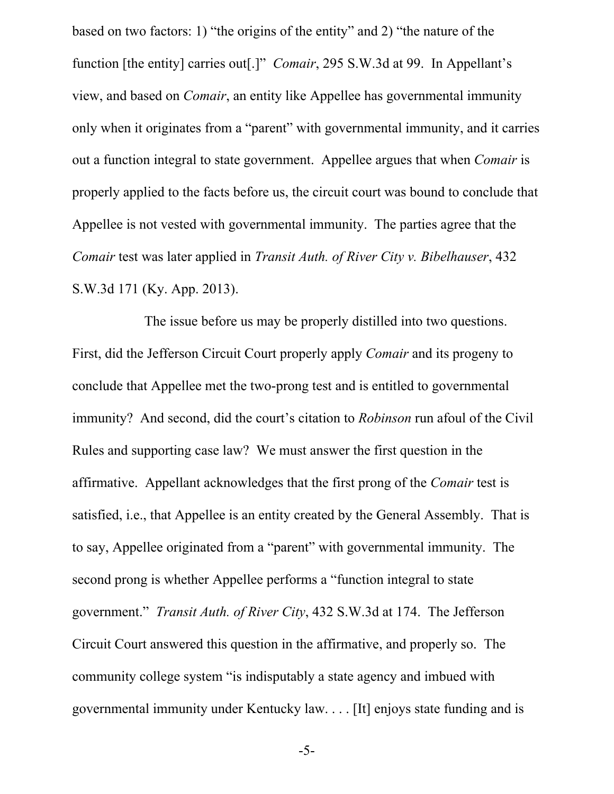based on two factors: 1) "the origins of the entity" and 2) "the nature of the function [the entity] carries out[.]" *Comair*, 295 S.W.3d at 99. In Appellant's view, and based on *Comair*, an entity like Appellee has governmental immunity only when it originates from a "parent" with governmental immunity, and it carries out a function integral to state government. Appellee argues that when *Comair* is properly applied to the facts before us, the circuit court was bound to conclude that Appellee is not vested with governmental immunity. The parties agree that the *Comair* test was later applied in *Transit Auth. of River City v. Bibelhauser*, 432 S.W.3d 171 (Ky. App. 2013).

The issue before us may be properly distilled into two questions. First, did the Jefferson Circuit Court properly apply *Comair* and its progeny to conclude that Appellee met the two-prong test and is entitled to governmental immunity? And second, did the court's citation to *Robinson* run afoul of the Civil Rules and supporting case law? We must answer the first question in the affirmative. Appellant acknowledges that the first prong of the *Comair* test is satisfied, i.e., that Appellee is an entity created by the General Assembly. That is to say, Appellee originated from a "parent" with governmental immunity. The second prong is whether Appellee performs a "function integral to state government." *Transit Auth. of River City*, 432 S.W.3d at 174. The Jefferson Circuit Court answered this question in the affirmative, and properly so. The community college system "is indisputably a state agency and imbued with governmental immunity under Kentucky law. . . . [It] enjoys state funding and is

-5-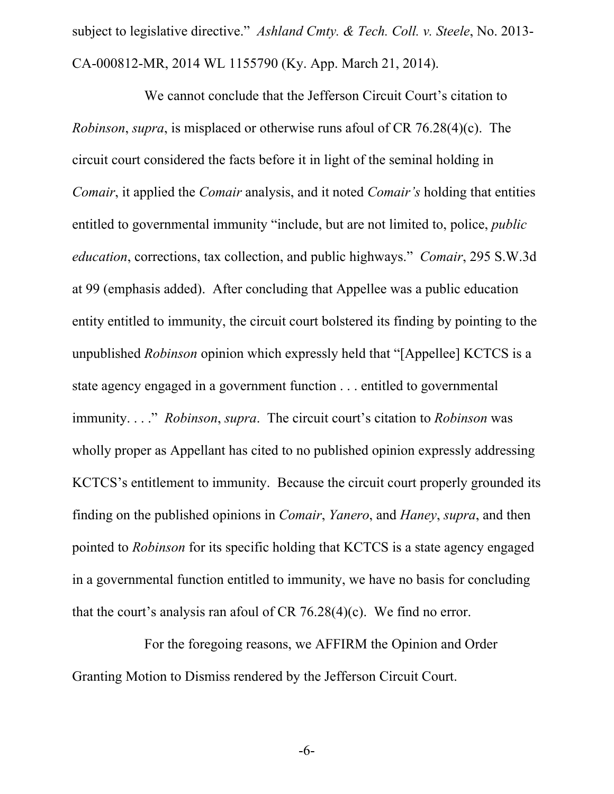subject to legislative directive." *Ashland Cmty. & Tech. Coll. v. Steele*, No. 2013- CA-000812-MR, 2014 WL 1155790 (Ky. App. March 21, 2014).

We cannot conclude that the Jefferson Circuit Court's citation to *Robinson*, *supra*, is misplaced or otherwise runs afoul of CR 76.28(4)(c). The circuit court considered the facts before it in light of the seminal holding in *Comair*, it applied the *Comair* analysis, and it noted *Comair's* holding that entities entitled to governmental immunity "include, but are not limited to, police, *public education*, corrections, tax collection, and public highways." *Comair*, 295 S.W.3d at 99 (emphasis added). After concluding that Appellee was a public education entity entitled to immunity, the circuit court bolstered its finding by pointing to the unpublished *Robinson* opinion which expressly held that "[Appellee] KCTCS is a state agency engaged in a government function . . . entitled to governmental immunity. . . ." *Robinson*, *supra*. The circuit court's citation to *Robinson* was wholly proper as Appellant has cited to no published opinion expressly addressing KCTCS's entitlement to immunity. Because the circuit court properly grounded its finding on the published opinions in *Comair*, *Yanero*, and *Haney*, *supra*, and then pointed to *Robinson* for its specific holding that KCTCS is a state agency engaged in a governmental function entitled to immunity, we have no basis for concluding that the court's analysis ran afoul of CR 76.28(4)(c). We find no error.

For the foregoing reasons, we AFFIRM the Opinion and Order Granting Motion to Dismiss rendered by the Jefferson Circuit Court.

-6-